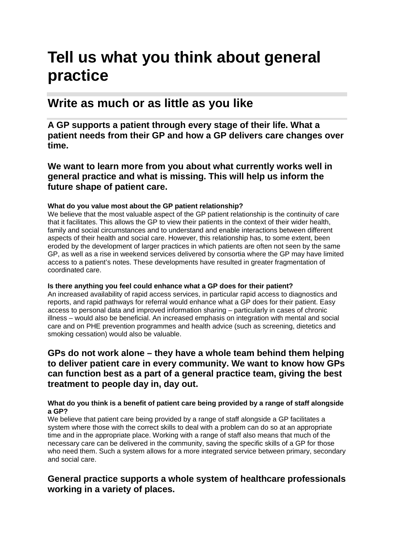# **Tell us what you think about general practice**

# **Write as much or as little as you like**

**A GP supports a patient through every stage of their life. What a patient needs from their GP and how a GP delivers care changes over time.**

**We want to learn more from you about what currently works well in general practice and what is missing. This will help us inform the future shape of patient care.**

### **What do you value most about the GP patient relationship?**

We believe that the most valuable aspect of the GP patient relationship is the continuity of care that it facilitates. This allows the GP to view their patients in the context of their wider health, family and social circumstances and to understand and enable interactions between different aspects of their health and social care. However, this relationship has, to some extent, been eroded by the development of larger practices in which patients are often not seen by the same GP, as well as a rise in weekend services delivered by consortia where the GP may have limited access to a patient's notes. These developments have resulted in greater fragmentation of coordinated care.

### **Is there anything you feel could enhance what a GP does for their patient?**

An increased availability of rapid access services, in particular rapid access to diagnostics and reports, and rapid pathways for referral would enhance what a GP does for their patient. Easy access to personal data and improved information sharing – particularly in cases of chronic illness – would also be beneficial. An increased emphasis on integration with mental and social care and on PHE prevention programmes and health advice (such as screening, dietetics and smoking cessation) would also be valuable.

# **GPs do not work alone – they have a whole team behind them helping to deliver patient care in every community. We want to know how GPs can function best as a part of a general practice team, giving the best treatment to people day in, day out.**

#### **What do you think is a benefit of patient care being provided by a range of staff alongside a GP?**

We believe that patient care being provided by a range of staff alongside a GP facilitates a system where those with the correct skills to deal with a problem can do so at an appropriate time and in the appropriate place. Working with a range of staff also means that much of the necessary care can be delivered in the community, saving the specific skills of a GP for those who need them. Such a system allows for a more integrated service between primary, secondary and social care.

# **General practice supports a whole system of healthcare professionals working in a variety of places.**